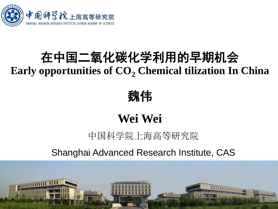

# 在中国二氧化碳化学利用的早期机会 **Early opportunities of CO<sup>2</sup> Chemical tilization In China**

魏伟

# **Wei Wei**

中国科学院上海高等研究院

Shanghai Advanced Research Institute, CAS

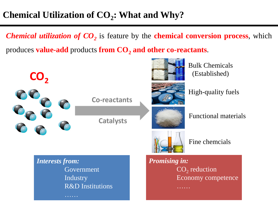## **Chemical Utilization of CO<sup>2</sup> : What and Why?**

*Chemical utilization of CO<sup>2</sup>* is feature by the **chemical conversion process**, which produces **value-add** products **from CO<sup>2</sup> and other co-reactants**.

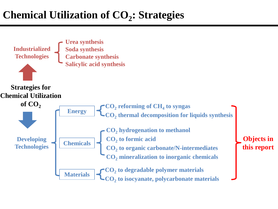# **Chemical Utilization of CO<sup>2</sup> : Strategies**

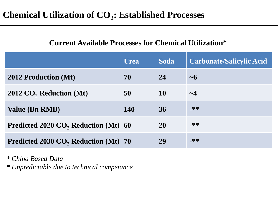## **Chemical Utilization of CO<sup>2</sup> : Established Processes**

#### **Current Available Processes for Chemical Utilization\***

|                                                  | <b>Urea</b> | <b>Soda</b> | <b>Carbonate/Salicylic Acid</b> |
|--------------------------------------------------|-------------|-------------|---------------------------------|
| <b>2012 Production (Mt)</b>                      | 70          | 24          | $\sim$ 6                        |
| $2012 \text{ CO}_2$ Reduction (Mt)               | 50          | 10          | $\sim\!\!4$                     |
| <b>Value (Bn RMB)</b>                            | <b>140</b>  | 36          | $-**$                           |
| Predicted 2020 CO <sub>2</sub> Reduction (Mt) 60 |             | <b>20</b>   | _**                             |
| Predicted 2030 CO <sub>2</sub> Reduction (Mt) 70 |             | 29          | _**                             |

*\* China Based Data \* Unpredictable due to technical competance*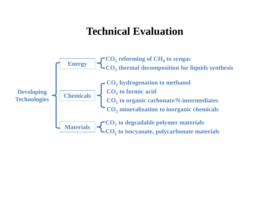## **Technical Evaluation**

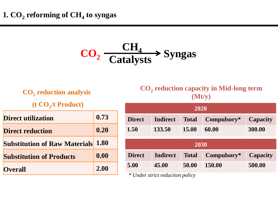$$
CO_2 \xrightarrow{CH_4} \text{Syngas}
$$

**CO<sup>2</sup> reduction analysis** 

**(t CO<sup>2</sup> /t Product)**

| <b>Direct utilization</b>                 | 0.73 |
|-------------------------------------------|------|
| <b>Direct reduction</b>                   | 0.20 |
| <b>Substitution of Raw Materials 1.80</b> |      |
| <b>Substitution of Products</b>           | 0.00 |
| <b>Overall</b>                            | 2.00 |

**CO<sup>2</sup> reduction capacity in Mid-long term (Mt/y)**

| 2020          |                 |              |             |                 |  |
|---------------|-----------------|--------------|-------------|-----------------|--|
| <b>Direct</b> | <b>Indirect</b> | <b>Total</b> | Compulsory* | <b>Capacity</b> |  |
| 1.50          | 133.50          | 15.00        | 60.00       | 300.00          |  |
|               |                 |              |             |                 |  |
| 2030          |                 |              |             |                 |  |
| <b>Direct</b> | <b>Indirect</b> | <b>Total</b> | Compulsory* | <b>Capacity</b> |  |
| 5.00          | 45.00           | 50.00        | 150.00      | 500.00          |  |
|               |                 |              |             |                 |  |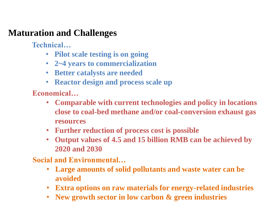**Technical…**

- **Pilot scale testing is on going**
- **2~4 years to commercialization**
- **Better catalysts are needed**
- **Reactor design and process scale up**

**Economical…**

- **Comparable with current technologies and policy in locations close to coal-bed methane and/or coal-conversion exhaust gas resources**
- **Further reduction of process cost is possible**
- **Output values of 4.5 and 15 billion RMB can be achieved by 2020 and 2030**

- **Large amounts of solid pollutants and waste water can be avoided**
- **Extra options on raw materials for energy-related industries**
- **New growth sector in low carbon & green industries**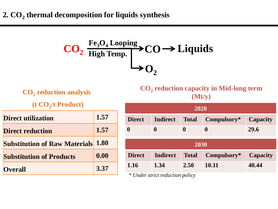$$
\begin{array}{c}\n\text{CO}_2 \xrightarrow{\text{Fe}_3\text{O}_4 \text{Looping}} \text{CO} \rightarrow \text{Liquids} \\
\downarrow \text{O}_2\n\end{array}
$$

| $CO2$ reduction analysis |  |  |  |  |
|--------------------------|--|--|--|--|
|--------------------------|--|--|--|--|

**(t CO<sup>2</sup> /t Product)**

| Direct utilization                        | 1.57 |
|-------------------------------------------|------|
| <b>Direct reduction</b>                   | 1.57 |
| <b>Substitution of Raw Materials 1.80</b> |      |
| <b>Substitution of Products</b>           | 0.00 |
| <b>Overall</b>                            | 3.37 |

**CO<sup>2</sup> reduction capacity in Mid-long term (Mt/y)**

| 2020             |                 |              |                  |                 |  |
|------------------|-----------------|--------------|------------------|-----------------|--|
| <b>Direct</b>    | <b>Indirect</b> | <b>Total</b> | Compulsory*      | Capacity        |  |
| $\boldsymbol{0}$ | $\bf{0}$        | $\bf{0}$     | $\boldsymbol{0}$ | 29.6            |  |
| 2030             |                 |              |                  |                 |  |
| <b>Direct</b>    | <b>Indirect</b> | <b>Total</b> | Compulsory*      | <b>Capacity</b> |  |
| 1.16             | 1.34            | 2.50         | 10.11            | 40.44           |  |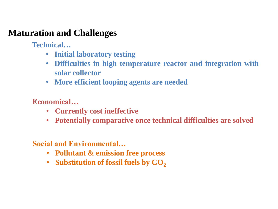**Technical…**

- **Initial laboratory testing**
- **Difficulties in high temperature reactor and integration with solar collector**
- **More efficient looping agents are needed**

**Economical…**

- **Currently cost ineffective**
- **Potentially comparative once technical difficulties are solved**

- **Pollutant & emission free process**
- **Substitution of fossil fuels by**  $CO<sub>2</sub>$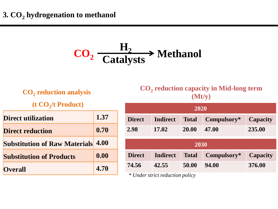$$
\text{CO}_2 \xrightarrow{\text{H}_2} \text{Method}
$$

**CO<sup>2</sup> reduction analysis** 

**(t CO<sup>2</sup> /t Product)**

| Direct utilization                   | 1.37 |
|--------------------------------------|------|
| <b>Direct reduction</b>              | 0.70 |
| <b>Substitution of Raw Materials</b> | 4.00 |
| <b>Substitution of Products</b>      | 0.00 |
| <b>Overall</b>                       | 4.70 |

**CO<sup>2</sup> reduction capacity in Mid-long term (Mt/y)**

| 2020          |                 |              |             |                 |  |
|---------------|-----------------|--------------|-------------|-----------------|--|
| <b>Direct</b> | <b>Indirect</b> | <b>Total</b> | Compulsory* | <b>Capacity</b> |  |
| 2.98          | 17.02           | 20.00        | 47.00       | 235.00          |  |
|               |                 |              |             |                 |  |
| 2030          |                 |              |             |                 |  |
| <b>Direct</b> | <b>Indirect</b> | <b>Total</b> | Compulsory* | <b>Capacity</b> |  |
| 74.56         | 42.55           | 50.00        | 94.00       | 376.00          |  |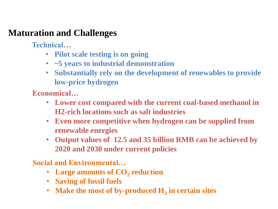**Technical…**

- **Pilot scale testing is on going**
- **~5 years to industrial demonstration**
- **Substantially rely on the development of renewables to provide low-price hydrogen**

**Economical…**

- **Lower cost compared with the current coal-based methanol in H2-rich locations such as salt industries**
- **Even more competitive when hydrogen can be supplied from renewable energies**
- **Output values of 12.5 and 35 billion RMB can be achieved by 2020 and 2030 under current policies**

- Large amounts of CO<sub>2</sub> reduction
- **Saving of fossil fuels**
- Make the most of by-produced  $H_2$  in certain sites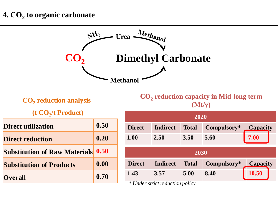#### **4. CO<sup>2</sup> to organic carbonate**

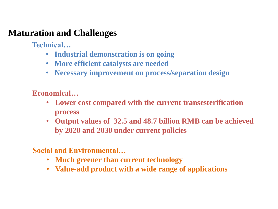**Technical…**

- **Industrial demonstration is on going**
- **More efficient catalysts are needed**
- **Necessary improvement on process/separation design**

**Economical…**

- **Lower cost compared with the current transesterification process**
- **Output values of 32.5 and 48.7 billion RMB can be achieved by 2020 and 2030 under current policies**

- **Much greener than current technology**
- **Value-add product with a wide range of applications**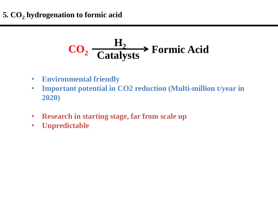

- **Environmental friendly**
- **Important potential in CO2 reduction (Multi-million t/year in 2020)**
- **Research in starting stage, far from scale up**
- **Unpredictable**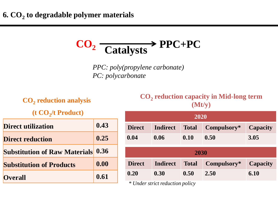# **CO<sup>2</sup> Catalysts PPC+PC**

*PPC: poly(propylene carbonate) PC: polycarbonate*

**CO<sup>2</sup> reduction analysis** 

**(t CO<sup>2</sup> /t Product)**

| <b>Direct utilization</b>                 | 0.43 |
|-------------------------------------------|------|
| <b>Direct reduction</b>                   | 0.25 |
| <b>Substitution of Raw Materials 0.36</b> |      |
| <b>Substitution of Products</b>           | 0.00 |
| <b>Overall</b>                            | 0.61 |

#### **CO<sup>2</sup> reduction capacity in Mid-long term (Mt/y)**

| 2020          |                 |              |             |                 |
|---------------|-----------------|--------------|-------------|-----------------|
| <b>Direct</b> | <b>Indirect</b> | <b>Total</b> | Compulsory* | <b>Capacity</b> |
| 0.04          | 0.06            | 0.10         | 0.50        | 3.05            |
| 2030          |                 |              |             |                 |
| <b>Direct</b> | <b>Indirect</b> | <b>Total</b> | Compulsory* | <b>Capacity</b> |
| 0.20          | 0.30            | 0.50         | 2.50        | 6.10            |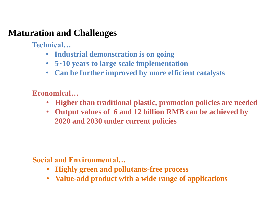**Technical…**

- **Industrial demonstration is on going**
- **5~10 years to large scale implementation**
- **Can be further improved by more efficient catalysts**

**Economical…**

- **Higher than traditional plastic, promotion policies are needed**
- **Output values of 6 and 12 billion RMB can be achieved by 2020 and 2030 under current policies**

- **Highly green and pollutants-free process**
- **Value-add product with a wide range of applications**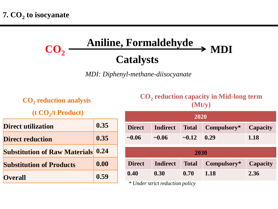#### **CO<sup>2</sup> Aniline, Formaldehyde Catalysts**  $\rightarrow$  MDI

*MDI: Diphenyl-methane-diisocyanate*

#### **CO<sup>2</sup> reduction analysis**

**(t CO<sup>2</sup> /t Product)**

| <b>Direct utilization</b>                 | 0.35 |
|-------------------------------------------|------|
| <b>Direct reduction</b>                   | 0.35 |
| <b>Substitution of Raw Materials 0.24</b> |      |
| <b>Substitution of Products</b>           | 0.00 |
| <b>Overall</b>                            | 0.59 |

#### **CO<sup>2</sup> reduction capacity in Mid-long term (Mt/y)**

| 2020                 |                 |              |             |                 |
|----------------------|-----------------|--------------|-------------|-----------------|
| <b>Direct</b>        | <b>Indirect</b> | <b>Total</b> | Compulsory* | <b>Capacity</b> |
| $\sim 0.06$          | $\sim 0.06$     | $-0.12$      | 0.29        | 1.18            |
| 2030                 |                 |              |             |                 |
|                      |                 |              |             |                 |
| <b>Direct</b>        | <b>Indirect</b> | <b>Total</b> | Compulsory* | <b>Capacity</b> |
| 0.40                 | 0.30            | 0.70         | 1.18        | 2.36            |
| $\sim$ $\sim$ $\sim$ |                 |              |             |                 |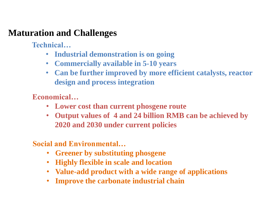**Technical…**

- **Industrial demonstration is on going**
- **Commercially available in 5-10 years**
- **Can be further improved by more efficient catalysts, reactor design and process integration**

**Economical…**

- **Lower cost than current phosgene route**
- **Output values of 4 and 24 billion RMB can be achieved by 2020 and 2030 under current policies**

- **Greener by substituting phosgene**
- **Highly flexible in scale and location**
- **Value-add product with a wide range of applications**
- **Improve the carbonate industrial chain**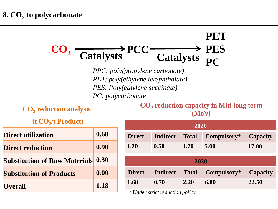#### **CO<sup>2</sup> Catalysts PCC Catalysts PET PES PC**

*PPC: poly(propylene carbonate) PET: poly(ethylene terephthalate) PES: Poly(ethylene succinate) PC: polycarbonate*

**CO<sup>2</sup> reduction analysis** 

**(t CO<sup>2</sup> /t Product)**

| <b>Direct utilization</b>            | 0.68 |
|--------------------------------------|------|
| <b>Direct reduction</b>              | 0.90 |
| <b>Substitution of Raw Materials</b> | 0.30 |
| <b>Substitution of Products</b>      | 0.00 |
| <b>Overall</b>                       | 1.18 |

**CO<sup>2</sup> reduction capacity in Mid-long term (Mt/y)**

| 2020                            |                 |              |             |                 |
|---------------------------------|-----------------|--------------|-------------|-----------------|
| <b>Direct</b>                   | <b>Indirect</b> | <b>Total</b> | Compulsory* | <b>Capacity</b> |
| 1.20                            | 0.50            | 1.70         | 5.00        | 17.00           |
|                                 |                 |              |             |                 |
| 2030                            |                 |              |             |                 |
| <b>Direct</b>                   | <b>Indirect</b> | <b>Total</b> | Compulsory* | <b>Capacity</b> |
| 1.60                            | 0.70            | 2.20         | 6.80        | 22.50           |
| * Under strict reduction policy |                 |              |             |                 |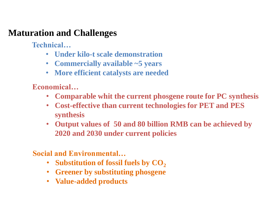**Technical…**

- **Under kilo-t scale demonstration**
- **Commercially available ~5 years**
- **More efficient catalysts are needed**

**Economical…**

- **Comparable whit the current phosgene route for PC synthesis**
- **Cost-effective than current technologies for PET and PES synthesis**
- **Output values of 50 and 80 billion RMB can be achieved by 2020 and 2030 under current policies**

- **Substitution of fossil fuels by CO**<sub>2</sub>
- **Greener by substituting phosgene**
- **Value-added products**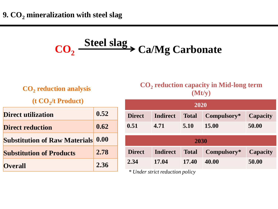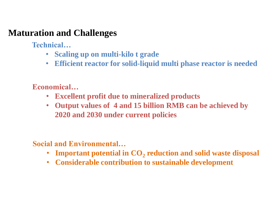**Technical…**

- **Scaling up on multi-kilo t grade**
- **Efficient reactor for solid-liquid multi phase reactor is needed**

**Economical…**

- **Excellent profit due to mineralized products**
- **Output values of 4 and 15 billion RMB can be achieved by 2020 and 2030 under current policies**

- **Important potential in CO<sup>2</sup> reduction and solid waste disposal**
- **Considerable contribution to sustainable development**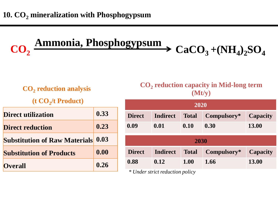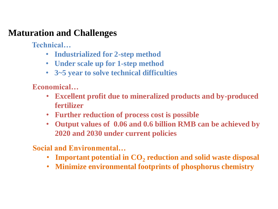**Technical…**

- **Industrialized for 2-step method**
- **Under scale up for 1-step method**
- **3~5 year to solve technical difficulties**

**Economical…**

- **Excellent profit due to mineralized products and by-produced fertilizer**
- **Further reduction of process cost is possible**
- **Output values of 0.06 and 0.6 billion RMB can be achieved by 2020 and 2030 under current policies**

- **Important potential in CO<sup>2</sup> reduction and solid waste disposal**
- **Minimize environmental footprints of phosphorus chemistry**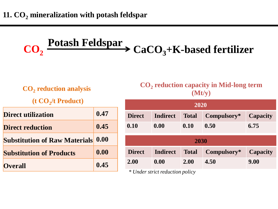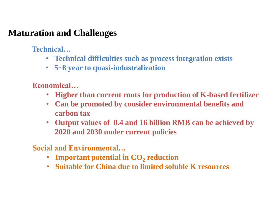**Technical…**

- **Technical difficulties such as process integration exists**
- **5~8 year to quasi-industralization**

**Economical…**

- **Higher than current routs for production of K-based fertilizer**
- **Can be promoted by consider environmental benefits and carbon tax**
- **Output values of 0.4 and 16 billion RMB can be achieved by 2020 and 2030 under current policies**

- **Important potential in CO<sub>2</sub> reduction**
- **Suitable for China due to limited soluble K resources**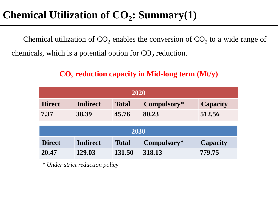# **Chemical Utilization of CO<sup>2</sup> : Summary(1)**

Chemical utilization of  $CO_2$  enables the conversion of  $CO_2$  to a wide range of chemicals, which is a potential option for  $CO_2$  reduction.

| 2020          |                 |              |             |                 |  |
|---------------|-----------------|--------------|-------------|-----------------|--|
| <b>Direct</b> | <b>Indirect</b> | <b>Total</b> | Compulsory* | Capacity        |  |
| 7.37          | 38.39           | 45.76        | 80.23       | 512.56          |  |
| 2030          |                 |              |             |                 |  |
| <b>Direct</b> | <b>Indirect</b> | <b>Total</b> | Compulsory* | <b>Capacity</b> |  |
| 20.47         | 129.03          | 131.50       | 318.13      | 779.75          |  |

#### **CO<sup>2</sup> reduction capacity in Mid-long term (Mt/y)**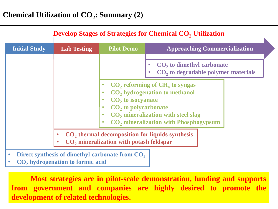| <b>Develop Stages of Strategies for Chemical CO, Utilization</b>                                                   |                                                             |                                                                                             |                                                                                                                                                                                        |  |  |
|--------------------------------------------------------------------------------------------------------------------|-------------------------------------------------------------|---------------------------------------------------------------------------------------------|----------------------------------------------------------------------------------------------------------------------------------------------------------------------------------------|--|--|
| <b>Initial Study</b>                                                                                               | <b>Lab Testing</b>                                          | <b>Pilot Demo</b>                                                                           | <b>Approaching Commercialization</b>                                                                                                                                                   |  |  |
|                                                                                                                    |                                                             |                                                                                             | $CO2$ to dimethyl carbonate<br>CO <sub>2</sub> to degradable polymer materials                                                                                                         |  |  |
|                                                                                                                    |                                                             | CO <sub>2</sub> to isocyanate<br>CO <sub>2</sub> to polycarbonate<br>$\bullet$<br>$\bullet$ | $CO2$ reforming of $CH4$ to syngas<br>CO <sub>2</sub> hydrogenation to methanol<br>CO <sub>2</sub> mineralization with steel slag<br>CO <sub>2</sub> mineralization with Phosphogypsum |  |  |
| CO <sub>2</sub> thermal decomposition for liquids synthesis<br>CO <sub>2</sub> mineralization with potash feldspar |                                                             |                                                                                             |                                                                                                                                                                                        |  |  |
| $\bullet$                                                                                                          | Direct synthesis of dimethyl carbonate from CO <sub>2</sub> |                                                                                             |                                                                                                                                                                                        |  |  |

• **CO<sup>2</sup> hydrogenation to formic acid**

 **Most strategies are in pilot-scale demonstration, funding and supports from government and companies are highly desired to promote the development of related technologies.**